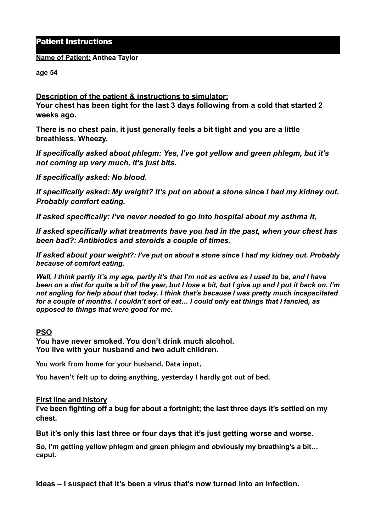## Patient Instructions

## **Name of Patient: Anthea Taylor**

**age 54** 

**Description of the patient & instructions to simulator: Your chest has been tight for the last 3 days following from a cold that started 2 weeks ago.** 

**There is no chest pain, it just generally feels a bit tight and you are a little breathless. Wheezy.** 

*If specifically asked about phlegm: Yes, I've got yellow and green phlegm, but it's not coming up very much, it's just bits.* 

*If specifically asked: No blood.* 

*If specifically asked: My weight? It's put on about a stone since I had my kidney out. Probably comfort eating.* 

*If asked specifically: I've never needed to go into hospital about my asthma it,* 

*If asked specifically what treatments have you had in the past, when your chest has been bad?: Antibiotics and steroids a couple of times.* 

*If asked about your weight?: I've put on about a stone since I had my kidney out. Probably because of comfort eating.* 

*Well, I think partly it's my age, partly it's that I'm not as active as I used to be, and I have been on a diet for quite a bit of the year, but I lose a bit, but I give up and I put it back on. I'm not angling for help about that today. I think that's because I was pretty much incapacitated for a couple of months. I couldn't sort of eat… I could only eat things that I fancied, as opposed to things that were good for me.*

## **PSO**

**You have never smoked. You don't drink much alcohol. You live with your husband and two adult children.** 

**You work from home for your husband. Data input.** 

**You haven't felt up to doing anything, yesterday I hardly got out of bed.**

## **First line and history**

**I've been fighting off a bug for about a fortnight; the last three days it's settled on my chest.** 

**But it's only this last three or four days that it's just getting worse and worse.** 

**So, I'm getting yellow phlegm and green phlegm and obviously my breathing's a bit… caput.**

**Ideas – I suspect that it's been a virus that's now turned into an infection.**